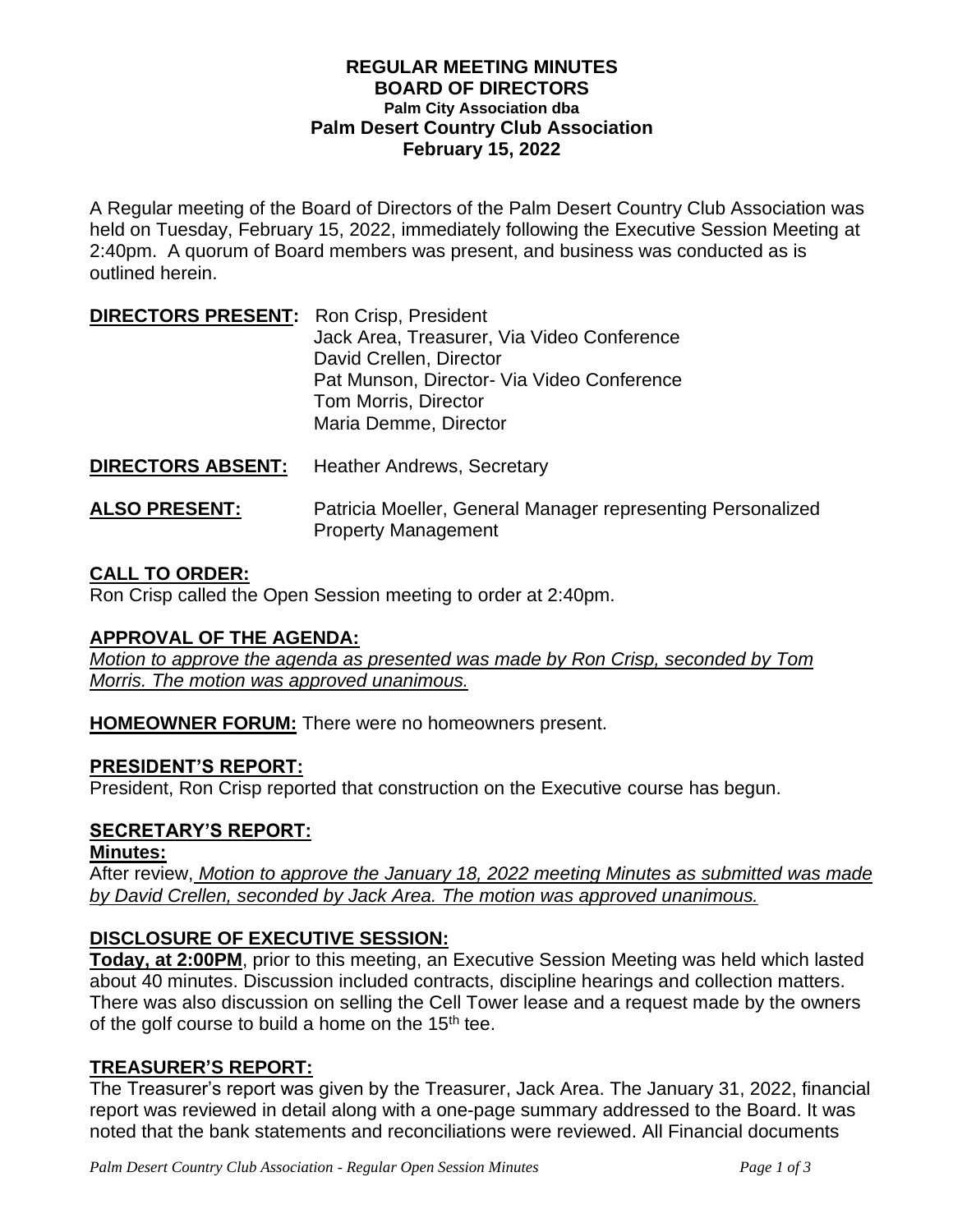#### **REGULAR MEETING MINUTES BOARD OF DIRECTORS Palm City Association dba Palm Desert Country Club Association February 15, 2022**

A Regular meeting of the Board of Directors of the Palm Desert Country Club Association was held on Tuesday, February 15, 2022, immediately following the Executive Session Meeting at 2:40pm. A quorum of Board members was present, and business was conducted as is outlined herein.

| <b>DIRECTORS PRESENT:</b> Ron Crisp, President |                                            |
|------------------------------------------------|--------------------------------------------|
|                                                | Jack Area, Treasurer, Via Video Conference |
|                                                | David Crellen, Director                    |
|                                                | Pat Munson, Director- Via Video Conference |
|                                                | Tom Morris, Director                       |
|                                                | Maria Demme, Director                      |
|                                                |                                            |

**DIRECTORS ABSENT:** Heather Andrews, Secretary **ALSO PRESENT:** Patricia Moeller, General Manager representing Personalized

Property Management

# **CALL TO ORDER:**

Ron Crisp called the Open Session meeting to order at 2:40pm.

### **APPROVAL OF THE AGENDA:**

*Motion to approve the agenda as presented was made by Ron Crisp, seconded by Tom Morris. The motion was approved unanimous.*

**HOMEOWNER FORUM:** There were no homeowners present.

### **PRESIDENT'S REPORT:**

President, Ron Crisp reported that construction on the Executive course has begun.

### **SECRETARY'S REPORT:**

### **Minutes:**

After review, *Motion to approve the January 18, 2022 meeting Minutes as submitted was made by David Crellen, seconded by Jack Area. The motion was approved unanimous.*

### **DISCLOSURE OF EXECUTIVE SESSION:**

**Today, at 2:00PM**, prior to this meeting, an Executive Session Meeting was held which lasted about 40 minutes. Discussion included contracts, discipline hearings and collection matters. There was also discussion on selling the Cell Tower lease and a request made by the owners of the golf course to build a home on the  $15<sup>th</sup>$  tee.

### **TREASURER'S REPORT:**

The Treasurer's report was given by the Treasurer, Jack Area. The January 31, 2022, financial report was reviewed in detail along with a one-page summary addressed to the Board. It was noted that the bank statements and reconciliations were reviewed. All Financial documents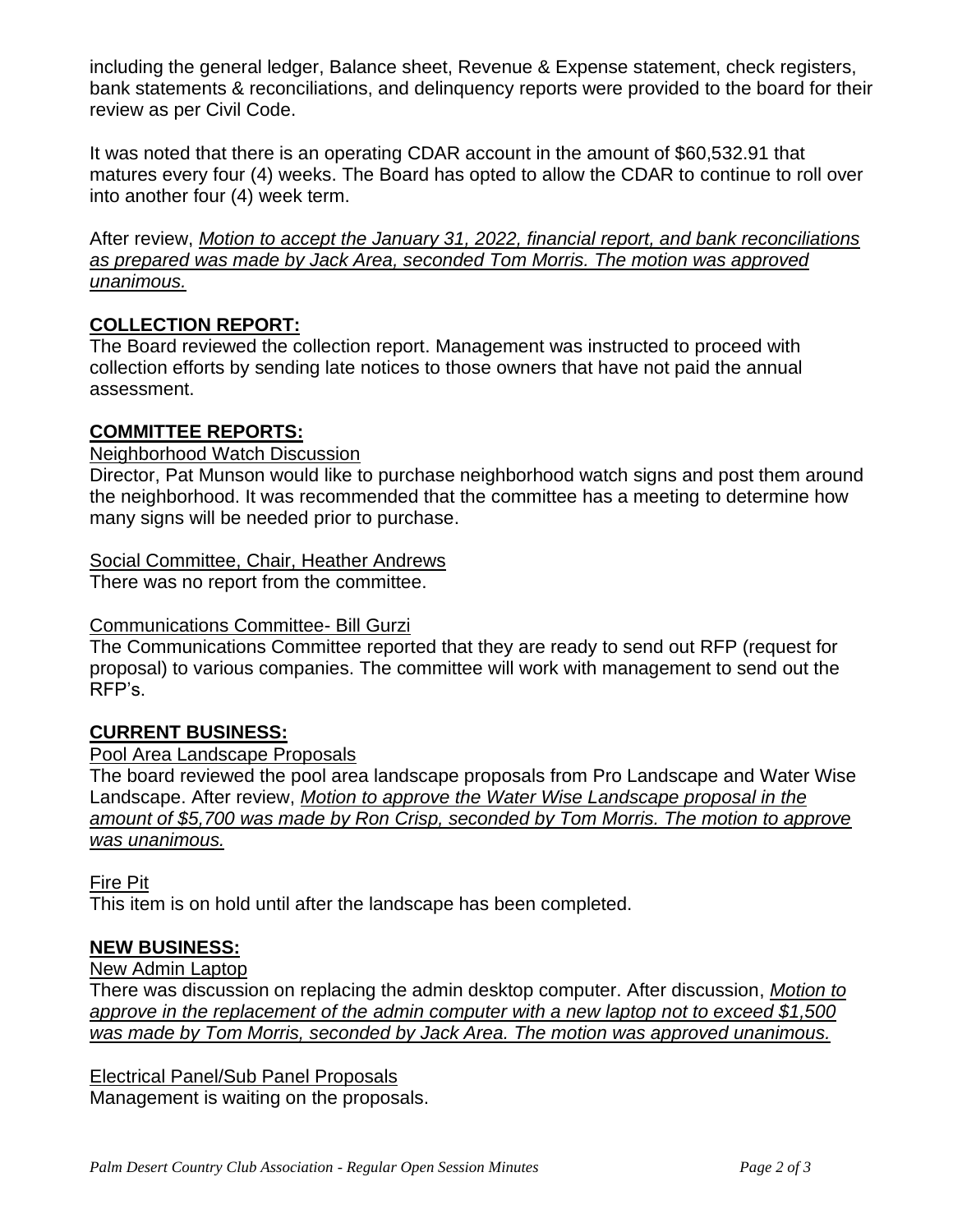including the general ledger, Balance sheet, Revenue & Expense statement, check registers, bank statements & reconciliations, and delinquency reports were provided to the board for their review as per Civil Code.

It was noted that there is an operating CDAR account in the amount of \$60,532.91 that matures every four (4) weeks. The Board has opted to allow the CDAR to continue to roll over into another four (4) week term.

After review, *Motion to accept the January 31, 2022, financial report, and bank reconciliations as prepared was made by Jack Area, seconded Tom Morris. The motion was approved unanimous.* 

# **COLLECTION REPORT:**

The Board reviewed the collection report. Management was instructed to proceed with collection efforts by sending late notices to those owners that have not paid the annual assessment.

# **COMMITTEE REPORTS:**

### Neighborhood Watch Discussion

Director, Pat Munson would like to purchase neighborhood watch signs and post them around the neighborhood. It was recommended that the committee has a meeting to determine how many signs will be needed prior to purchase.

### Social Committee, Chair, Heather Andrews

There was no report from the committee.

### Communications Committee- Bill Gurzi

The Communications Committee reported that they are ready to send out RFP (request for proposal) to various companies. The committee will work with management to send out the RFP's.

# **CURRENT BUSINESS:**

### Pool Area Landscape Proposals

The board reviewed the pool area landscape proposals from Pro Landscape and Water Wise Landscape. After review, *Motion to approve the Water Wise Landscape proposal in the amount of \$5,700 was made by Ron Crisp, seconded by Tom Morris. The motion to approve was unanimous.*

Fire Pit

This item is on hold until after the landscape has been completed.

# **NEW BUSINESS:**

# New Admin Laptop

There was discussion on replacing the admin desktop computer. After discussion, *Motion to approve in the replacement of the admin computer with a new laptop not to exceed \$1,500 was made by Tom Morris, seconded by Jack Area. The motion was approved unanimous.*

Electrical Panel/Sub Panel Proposals Management is waiting on the proposals.